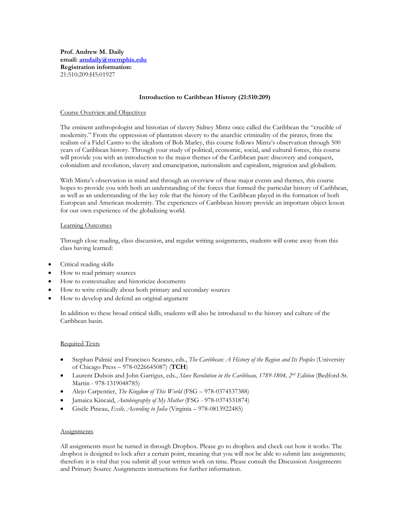**Prof. Andrew M. Daily email: [amdaily@memphis.edu](mailto:amdaily@memphis.edu) Registration information:** 21:510:209:H5:01927

#### **Introduction to Caribbean History (21:510:209)**

#### Course Overview and Objectives

The eminent anthropologist and historian of slavery Sidney Mintz once called the Caribbean the "crucible of modernity." From the oppression of plantation slavery to the anarchic criminality of the pirates, from the realism of a Fidel Castro to the idealism of Bob Marley, this course follows Mintz's observation through 500 years of Caribbean history. Through your study of political, economic, social, and cultural forces, this course will provide you with an introduction to the major themes of the Caribbean past: discovery and conquest, colonialism and revolution, slavery and emancipation, nationalism and capitalism, migration and globalism.

With Mintz's observation in mind and through an overview of these major events and themes, this course hopes to provide you with both an understanding of the forces that formed the particular history of Caribbean, as well as an understanding of the key role that the history of the Caribbean played in the formation of both European and American modernity. The experiences of Caribbean history provide an important object lesson for our own experience of the globalizing world.

#### Learning Outcomes

Through close reading, class discussion, and regular writing assignments, students will come away from this class having learned:

- Critical reading skills
- How to read primary sources
- How to contextualize and historicize documents
- How to write critically about both primary and secondary sources
- How to develop and defend an original argument

In addition to these broad critical skills, students will also be introduced to the history and culture of the Caribbean basin.

#### Required Texts

- Stephan Palmié and Francisco Scarano, eds., *The Caribbean: A History of the Region and Its Peoples* (University of Chicago Press – 978-0226645087) (**TCH**)
- $\bullet$  Laurent Dubois and John Garrigus, eds., *Slave Revolution in the Caribbean, 1789-1804, 2<sup>nd</sup> Edition (Bedford-St.* Martin - 978-1319048785)
- Alejo Carpentier, *The Kingdom of This World* (FSG 978-0374537388)
- Jamaica Kincaid, *Autobiography of My Mother* (FSG 978-0374531874)
- Gisèle Pineau, *Exile, According to Julia* (Virginia 978-0813922485)

#### **Assignments**

All assignments must be turned in through Dropbox. Please go to dropbox and check out how it works. The dropbox is designed to lock after a certain point, meaning that you will not be able to submit late assignments; therefore it is vital that you submit all your written work on time. Please consult the Discussion Assignments and Primary Source Assignments instructions for further information.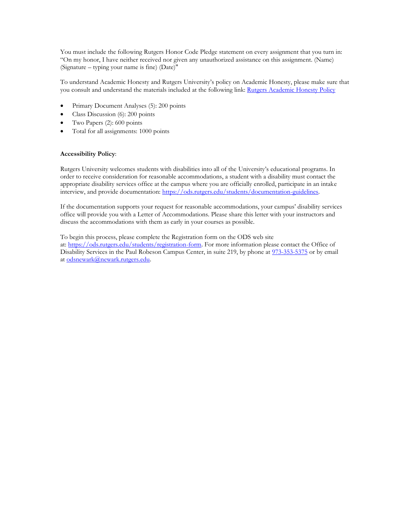You must include the following Rutgers Honor Code Pledge statement on every assignment that you turn in: "On my honor, I have neither received nor given any unauthorized assistance on this assignment. (Name) (Signature – typing your name is fine) (Date)"

To understand Academic Honesty and Rutgers University's policy on Academic Honesty, please make sure that you consult and understand the materials included at the following link: Rutgers [Academic](http://academicintegrity.rutgers.edu/academic-integrity-policy/) Honesty Policy

- Primary Document Analyses (5): 200 points
- Class Discussion (6): 200 points
- Two Papers (2): 600 points
- Total for all assignments: 1000 points

#### **Accessibility Policy**:

Rutgers University welcomes students with disabilities into all of the University's educational programs. In order to receive consideration for reasonable accommodations, a student with a disability must contact the appropriate disability services office at the campus where you are officially enrolled, participate in an intake interview, and provide documentation: [https://ods.rutgers.edu/students/documentation-guidelines.](https://ods.rutgers.edu/students/documentation-guidelines)

If the documentation supports your request for reasonable accommodations, your campus' disability services office will provide you with a Letter of Accommodations. Please share this letter with your instructors and discuss the accommodations with them as early in your courses as possible.

To begin this process, please complete the Registration form on the ODS web site at: [https://ods.rutgers.edu/students/registration-form.](https://ods.rutgers.edu/students/registration-form) For more information please contact the Office of Disability Services in the Paul Robeson Campus Center, in suite 219, by phone at [973-353-5375](tel://973-353-5375/) or by email at [odsnewark@newark.rutgers.edu.](mailto:odsnewark@newark.rutgers.edu)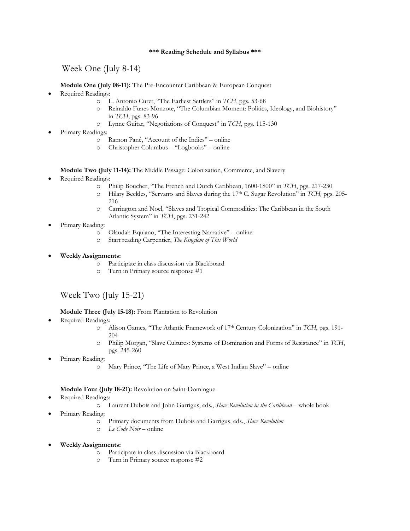### **\*\*\* Reading Schedule and Syllabus \*\*\***

Week One (July 8-14)

**Module One (July 08-11):** The Pre-Encounter Caribbean & European Conquest

- Required Readings:
	- o L. Antonio Curet, "The Earliest Settlers" in *TCH*, pgs. 53-68
	- o Reinaldo Funes Monzote, "The Columbian Moment: Politics, Ideology, and Biohistory" in *TCH*, pgs. 83-96
	- o Lynne Guitar, "Negotiations of Conquest" in *TCH*, pgs. 115-130
- Primary Readings:
	- o Ramon Pané, "Account of the Indies" online
	- o Christopher Columbus "Logbooks" online

**Module Two (July 11-14):** The Middle Passage: Colonization, Commerce, and Slavery

- Required Readings:
	- o Philip Boucher, "The French and Dutch Caribbean, 1600-1800" in *TCH*, pgs. 217-230
	- o Hilary Beckles, "Servants and Slaves during the 17th C. Sugar Revolution" in *TCH,* pgs. 205- 216
	- o Carrington and Noel, "Slaves and Tropical Commodities: The Caribbean in the South Atlantic System" in *TCH*, pgs. 231-242
- Primary Reading:
	- o Olaudah Equiano, "The Interesting Narrative" online
	- o Start reading Carpentier, *The Kingdom of This World*
- **Weekly Assignments:**
	- o Participate in class discussion via Blackboard
	- o Turn in Primary source response #1

# Week Two (July 15-21)

**Module Three (July 15-18):** From Plantation to Revolution

- Required Readings:
	- o Alison Games, "The Atlantic Framework of 17th Century Colonization" in *TCH*, pgs. 191- 204
	- o Philip Morgan, "Slave Cultures: Systems of Domination and Forms of Resistance" in *TCH*, pgs. 245-260
- Primary Reading:
	- o Mary Prince, "The Life of Mary Prince, a West Indian Slave" online

### **Module Four (July 18-21):** Revolution on Saint-Domingue

- Required Readings:
	- o Laurent Dubois and John Garrigus, eds., *Slave Revolution in the Caribbean* whole book
- Primary Reading:
	- o Primary documents from Dubois and Garrigus, eds., *Slave Revolution*
	- o *Le Code Noir* online
- **Weekly Assignments:**
	- o Participate in class discussion via Blackboard
	- o Turn in Primary source response #2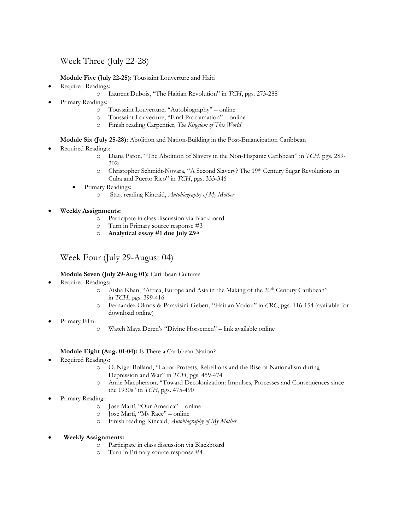# Week Three (July 22-28)

**Module Five (July 22-25):** Toussaint Louverture and Haiti

- Required Readings:
	- o Laurent Dubois, "The Haitian Revolution" in *TCH*, pgs. 273-288
- Primary Readings:
	- o Toussaint Louverture, "Autobiography" online
	- o Toussaint Louverture, "Final Proclamation" online
	- o Finish reading Carpentier, *The Kingdom of This World*

**Module Six (July 25-28):** Abolition and Nation-Building in the Post-Emancipation Caribbean

- Required Readings:
	- o Diana Paton, "The Abolition of Slavery in the Non-Hispanic Caribbean" in *TCH*, pgs. 289- 302;
	- o Christopher Schmidt-Novara, "A Second Slavery? The 19th Century Sugar Revolutions in Cuba and Puerto Rico" in *TCH*, pgs. 333-346
	- Primary Readings:
		- o Start reading Kincaid, *Autobiography of My Mother*

**Weekly Assignments:**

- o Participate in class discussion via Blackboard
- o Turn in Primary source response #3
- o **Analytical essay #1 due July 25th**

# Week Four (July 29-August 04)

## **Module Seven (July 29-Aug 01):** Caribbean Cultures

- Required Readings:
	- o Aisha Khan, "Africa, Europe and Asia in the Making of the 20th Century Caribbean" in *TCH*, pgs. 399-416
	- o Fernandez Olmos & Paravisini-Gebert, "Haitian Vodou" in *CRC*, pgs. 116-154 (available for download online)
- Primary Film:
	- o Watch Maya Deren's "Divine Horsemen" link available online

## **Module Eight (Aug. 01-04):** Is There a Caribbean Nation?

- Required Readings:
	- o O. Nigel Bolland, "Labor Protests, Rebellions and the Rise of Nationalism during Depression and War" in *TCH*, pgs. 459-474
	- o Anne Macpherson, "Toward Decolonization: Impulses, Processes and Consequences since the 1930s" in *TCH*, pgs. 475-490
- Primary Reading:
	- o Jose Martí, "Our America" online
	- o Jose Martí, "My Race" online
	- o Finish reading Kincaid, *Autobiography of My Mother*
- **Weekly Assignments:**
	- o Participate in class discussion via Blackboard
	- o Turn in Primary source response #4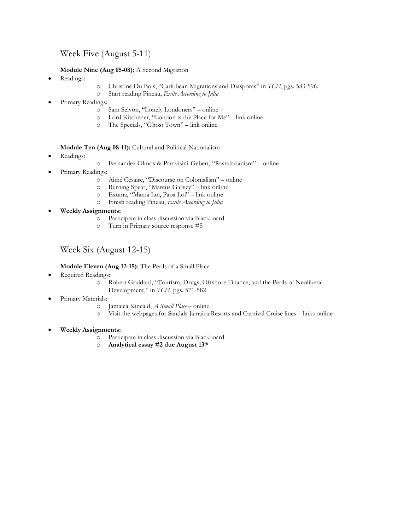Week Five (August 5-11)

**Module Nine (Aug 05-08):** A Second Migration

- Readings:
- o Christine Du Bois, "Caribbean Migrations and Diasporas" in *TCH*, pgs. 583-596.
- o Start reading Pineau, *Exile According to Julia*
- Primary Readings:
	- o Sam Selvon, "Lonely Londoners" online
	- o Lord Kitchener, "London is the Place for Me" link online
	- o The Specials, "Ghost Town" link online

**Module Ten (Aug 08-11):** Cultural and Political Nationalism

- Readings:
- o Fernandez Olmos & Paravisini-Gebert, "Rastafarianism" online
- Primary Readings:
	- o Aimé Césaire, "Discourse on Colonialism" online
	- o Burning Spear, "Marcus Garvey" link online
	- o Exuma, "Mama Loi, Papa Loi" link online
	- o Finish reading Pineau, *Exile According to Julia*
- **Weekly Assignments:**
	- o Participate in class discussion via Blackboard
	- o Turn in Primary source response #5

# Week Six (August 12-15)

**Module Eleven (Aug 12-15):** The Perils of a Small Place

- Required Readings:
	- o Robert Goddard, "Tourism, Drugs, Offshore Finance, and the Perils of Neoliberal Development," in *TCH*, pgs. 571-582
- Primary Materials:
	- o Jamaica Kincaid, *A Small Place* online
	- o Visit the webpages for Sandals Jamaica Resorts and Carnival Cruise lines links online
- **Weekly Assignments:**
	- o Participate in class discussion via Blackboard
	- o **Analytical essay #2 due August 13th**